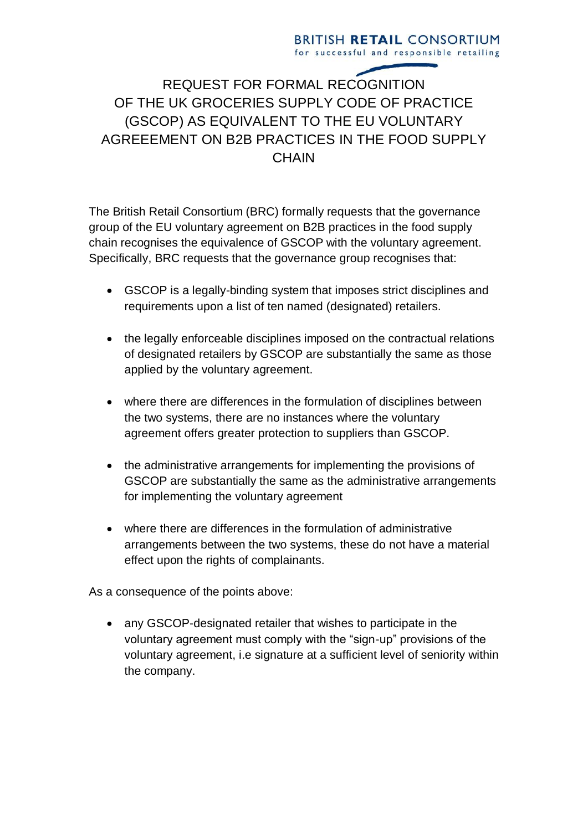## **BRITISH RETAIL CONSORTIUM** for successful and responsible retailing

## REQUEST FOR FORMAL RECOGNITION OF THE UK GROCERIES SUPPLY CODE OF PRACTICE (GSCOP) AS EQUIVALENT TO THE EU VOLUNTARY AGREEEMENT ON B2B PRACTICES IN THE FOOD SUPPLY **CHAIN**

The British Retail Consortium (BRC) formally requests that the governance group of the EU voluntary agreement on B2B practices in the food supply chain recognises the equivalence of GSCOP with the voluntary agreement. Specifically, BRC requests that the governance group recognises that:

- GSCOP is a legally-binding system that imposes strict disciplines and requirements upon a list of ten named (designated) retailers.
- the legally enforceable disciplines imposed on the contractual relations of designated retailers by GSCOP are substantially the same as those applied by the voluntary agreement.
- where there are differences in the formulation of disciplines between the two systems, there are no instances where the voluntary agreement offers greater protection to suppliers than GSCOP.
- the administrative arrangements for implementing the provisions of GSCOP are substantially the same as the administrative arrangements for implementing the voluntary agreement
- where there are differences in the formulation of administrative arrangements between the two systems, these do not have a material effect upon the rights of complainants.

As a consequence of the points above:

 any GSCOP-designated retailer that wishes to participate in the voluntary agreement must comply with the "sign-up" provisions of the voluntary agreement, i.e signature at a sufficient level of seniority within the company.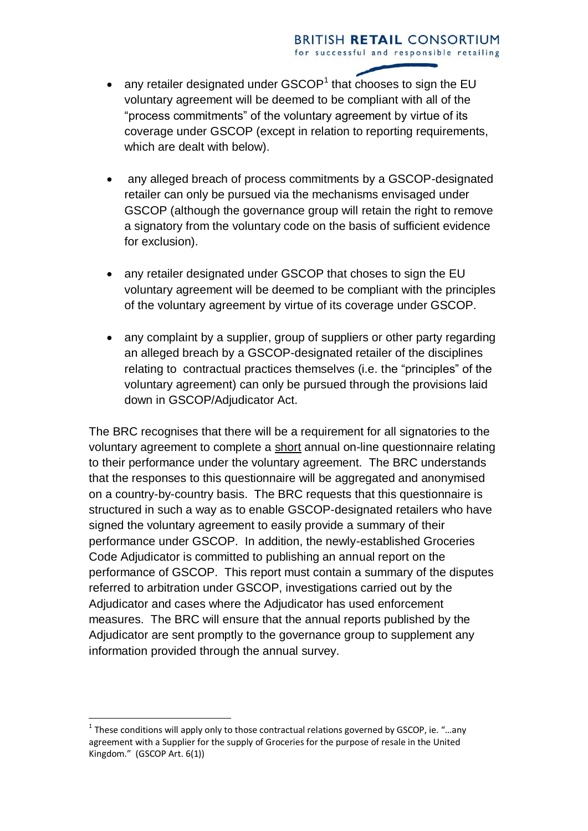- any retailer designated under  $\text{GSCOP}^1$  that chooses to sign the EU voluntary agreement will be deemed to be compliant with all of the "process commitments" of the voluntary agreement by virtue of its coverage under GSCOP (except in relation to reporting requirements, which are dealt with below).
- any alleged breach of process commitments by a GSCOP-designated retailer can only be pursued via the mechanisms envisaged under GSCOP (although the governance group will retain the right to remove a signatory from the voluntary code on the basis of sufficient evidence for exclusion).
- any retailer designated under GSCOP that choses to sign the EU voluntary agreement will be deemed to be compliant with the principles of the voluntary agreement by virtue of its coverage under GSCOP.
- any complaint by a supplier, group of suppliers or other party regarding an alleged breach by a GSCOP-designated retailer of the disciplines relating to contractual practices themselves (i.e. the "principles" of the voluntary agreement) can only be pursued through the provisions laid down in GSCOP/Adjudicator Act.

The BRC recognises that there will be a requirement for all signatories to the voluntary agreement to complete a short annual on-line questionnaire relating to their performance under the voluntary agreement. The BRC understands that the responses to this questionnaire will be aggregated and anonymised on a country-by-country basis. The BRC requests that this questionnaire is structured in such a way as to enable GSCOP-designated retailers who have signed the voluntary agreement to easily provide a summary of their performance under GSCOP. In addition, the newly-established Groceries Code Adjudicator is committed to publishing an annual report on the performance of GSCOP. This report must contain a summary of the disputes referred to arbitration under GSCOP, investigations carried out by the Adjudicator and cases where the Adjudicator has used enforcement measures. The BRC will ensure that the annual reports published by the Adjudicator are sent promptly to the governance group to supplement any information provided through the annual survey.

<u>.</u>

 $<sup>1</sup>$  These conditions will apply only to those contractual relations governed by GSCOP, ie. "...any</sup> agreement with a Supplier for the supply of Groceries for the purpose of resale in the United Kingdom." (GSCOP Art. 6(1))